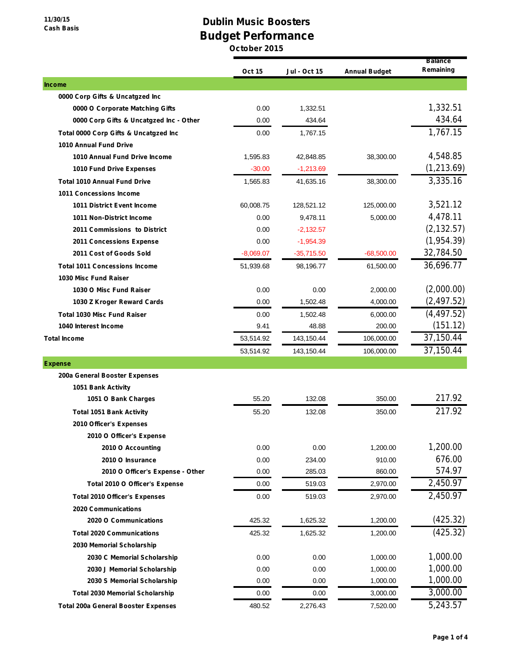## **Dublin Music Boosters Budget Performance**

|                                            | <b>Oct 15</b> | <b>Jul - Oct 15</b> | <b>Annual Budget</b> | <b>Balance</b><br>Remaining |
|--------------------------------------------|---------------|---------------------|----------------------|-----------------------------|
| <b>Income</b>                              |               |                     |                      |                             |
| 0000 Corp Gifts & Uncatgzed Inc            |               |                     |                      |                             |
| 0000 O Corporate Matching Gifts            | 0.00          | 1,332.51            |                      | 1,332.51                    |
| 0000 Corp Gifts & Uncatgzed Inc - Other    | 0.00          | 434.64              |                      | 434.64                      |
| Total 0000 Corp Gifts & Uncatgzed Inc      | 0.00          | 1,767.15            |                      | 1,767.15                    |
| <b>1010 Annual Fund Drive</b>              |               |                     |                      |                             |
| 1010 Annual Fund Drive Income              | 1,595.83      | 42,848.85           | 38,300.00            | 4,548.85                    |
| 1010 Fund Drive Expenses                   | $-30.00$      | $-1,213.69$         |                      | (1, 213.69)                 |
| <b>Total 1010 Annual Fund Drive</b>        | 1,565.83      | 41,635.16           | 38,300.00            | 3,335.16                    |
| <b>1011 Concessions Income</b>             |               |                     |                      |                             |
| <b>1011 District Event Income</b>          | 60,008.75     | 128,521.12          | 125,000.00           | 3,521.12                    |
| 1011 Non-District Income                   | 0.00          | 9,478.11            | 5,000.00             | 4,478.11                    |
| 2011 Commissions to District               | 0.00          | $-2,132.57$         |                      | (2, 132.57)                 |
| <b>2011 Concessions Expense</b>            | 0.00          | $-1,954.39$         |                      | (1, 954.39)                 |
| 2011 Cost of Goods Sold                    | $-8,069.07$   | $-35,715.50$        | $-68,500.00$         | 32,784.50                   |
| <b>Total 1011 Concessions Income</b>       | 51,939.68     | 98,196.77           | 61,500.00            | 36,696.77                   |
| 1030 Misc Fund Raiser                      |               |                     |                      |                             |
| 1030 O Misc Fund Raiser                    | 0.00          | 0.00                | 2,000.00             | (2,000.00)                  |
| 1030 Z Kroger Reward Cards                 | 0.00          | 1,502.48            | 4,000.00             | (2, 497.52)                 |
| <b>Total 1030 Misc Fund Raiser</b>         | 0.00          | 1,502.48            | 6,000.00             | (4, 497.52)                 |
| 1040 Interest Income                       | 9.41          | 48.88               | 200.00               | (151.12)                    |
| <b>Total Income</b>                        | 53,514.92     | 143,150.44          | 106,000.00           | 37,150.44                   |
|                                            | 53,514.92     | 143,150.44          | 106,000.00           | 37,150.44                   |
| <b>Expense</b>                             |               |                     |                      |                             |
| 200a General Booster Expenses              |               |                     |                      |                             |
| 1051 Bank Activity                         |               |                     |                      |                             |
| 1051 O Bank Charges                        | 55.20         | 132.08              | 350.00               | 217.92                      |
| <b>Total 1051 Bank Activity</b>            | 55.20         | 132.08              | 350.00               | 217.92                      |
| 2010 Officer's Expenses                    |               |                     |                      |                             |
| 2010 O Officer's Expense                   |               |                     |                      |                             |
| 2010 O Accounting                          | 0.00          | 0.00                | 1,200.00             | 1,200.00                    |
| 2010 O Insurance                           | 0.00          | 234.00              | 910.00               | 676.00                      |
| 2010 O Officer's Expense - Other           | 0.00          | 285.03              | 860.00               | 574.97                      |
| Total 2010 O Officer's Expense             | 0.00          | 519.03              | 2,970.00             | 2,450.97                    |
| <b>Total 2010 Officer's Expenses</b>       | 0.00          | 519.03              | 2,970.00             | 2,450.97                    |
| <b>2020 Communications</b>                 |               |                     |                      |                             |
| 2020 O Communications                      | 425.32        | 1,625.32            | 1,200.00             | (425.32)                    |
| <b>Total 2020 Communications</b>           | 425.32        | 1,625.32            | 1,200.00             | (425.32)                    |
| 2030 Memorial Scholarship                  |               |                     |                      |                             |
| 2030 C Memorial Scholarship                | 0.00          | 0.00                | 1,000.00             | 1,000.00                    |
| 2030 J Memorial Scholarship                | 0.00          | 0.00                | 1,000.00             | 1,000.00                    |
| 2030 S Memorial Scholarship                | 0.00          | 0.00                | 1,000.00             | 1,000.00                    |
| <b>Total 2030 Memorial Scholarship</b>     | 0.00          | 0.00                | 3,000.00             | 3,000.00                    |
| <b>Total 200a General Booster Expenses</b> | 480.52        | 2,276.43            | 7,520.00             | 5,243.57                    |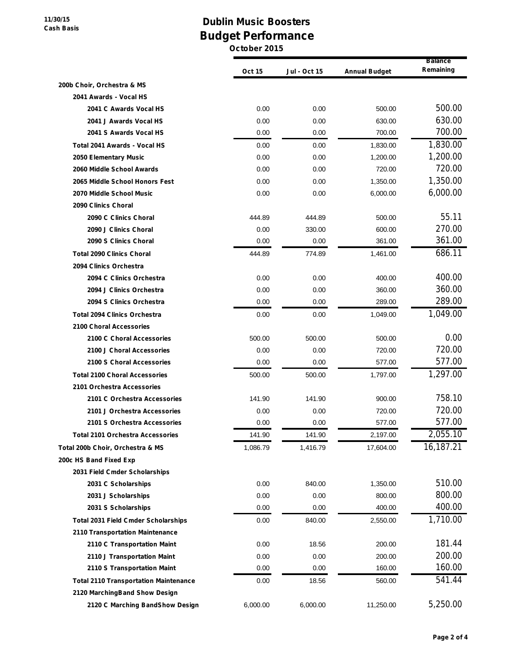**11/30/15 Cash Basis**

## **Dublin Music Boosters Budget Performance**

|                                              | <b>Oct 15</b> | Jul - Oct 15 | <b>Annual Budget</b> | <b>Balance</b><br>Remaining |
|----------------------------------------------|---------------|--------------|----------------------|-----------------------------|
| 200b Choir, Orchestra & MS                   |               |              |                      |                             |
| 2041 Awards - Vocal HS                       |               |              |                      |                             |
| 2041 C Awards Vocal HS                       | 0.00          | 0.00         | 500.00               | 500.00                      |
| 2041 J Awards Vocal HS                       | 0.00          | 0.00         | 630.00               | 630.00                      |
| 2041 S Awards Vocal HS                       | 0.00          | 0.00         | 700.00               | 700.00                      |
| Total 2041 Awards - Vocal HS                 | 0.00          | 0.00         | 1,830.00             | 1,830.00                    |
| 2050 Elementary Music                        | 0.00          | 0.00         | 1,200.00             | 1,200.00                    |
| 2060 Middle School Awards                    | 0.00          | 0.00         | 720.00               | 720.00                      |
| 2065 Middle School Honors Fest               | 0.00          | 0.00         | 1,350.00             | 1,350.00                    |
| 2070 Middle School Music                     | 0.00          | 0.00         | 6,000.00             | 6,000.00                    |
| 2090 Clinics Choral                          |               |              |                      |                             |
| 2090 C Clinics Choral                        | 444.89        | 444.89       | 500.00               | 55.11                       |
| 2090 J Clinics Choral                        | 0.00          | 330.00       | 600.00               | 270.00                      |
| 2090 S Clinics Choral                        | 0.00          | 0.00         | 361.00               | 361.00                      |
| <b>Total 2090 Clinics Choral</b>             | 444.89        | 774.89       | 1,461.00             | 686.11                      |
| 2094 Clinics Orchestra                       |               |              |                      |                             |
| 2094 C Clinics Orchestra                     | 0.00          | 0.00         | 400.00               | 400.00                      |
| 2094 J Clinics Orchestra                     | 0.00          | 0.00         | 360.00               | 360.00                      |
| 2094 S Clinics Orchestra                     | 0.00          | 0.00         | 289.00               | 289.00                      |
| <b>Total 2094 Clinics Orchestra</b>          | 0.00          | 0.00         | 1,049.00             | 1,049.00                    |
| 2100 Choral Accessories                      |               |              |                      |                             |
| 2100 C Choral Accessories                    | 500.00        | 500.00       | 500.00               | 0.00                        |
| 2100 J Choral Accessories                    | 0.00          | 0.00         | 720.00               | 720.00                      |
| 2100 S Choral Accessories                    | 0.00          | 0.00         | 577.00               | 577.00                      |
| <b>Total 2100 Choral Accessories</b>         | 500.00        | 500.00       | 1,797.00             | 1,297.00                    |
| 2101 Orchestra Accessories                   |               |              |                      |                             |
| 2101 C Orchestra Accessories                 | 141.90        | 141.90       | 900.00               | 758.10                      |
| 2101 J Orchestra Accessories                 | 0.00          | 0.00         | 720.00               | 720.00                      |
| 2101 S Orchestra Accessories                 | 0.00          | 0.00         | 577.00               | 577.00                      |
| <b>Total 2101 Orchestra Accessories</b>      | 141.90        | 141.90       | 2,197.00             | 2,055.10                    |
| Total 200b Choir, Orchestra & MS             | 1,086.79      | 1,416.79     | 17,604.00            | 16,187.21                   |
| 200c HS Band Fixed Exp                       |               |              |                      |                             |
| 2031 Field Cmder Scholarships                |               |              |                      |                             |
| 2031 C Scholarships                          | 0.00          | 840.00       | 1,350.00             | 510.00                      |
| 2031 J Scholarships                          | 0.00          | 0.00         | 800.00               | 800.00                      |
| 2031 S Scholarships                          | 0.00          | 0.00         | 400.00               | 400.00                      |
| <b>Total 2031 Field Cmder Scholarships</b>   | 0.00          | 840.00       | 2,550.00             | 1,710.00                    |
| <b>2110 Transportation Maintenance</b>       |               |              |                      |                             |
| 2110 C Transportation Maint                  | 0.00          | 18.56        | 200.00               | 181.44                      |
| 2110 J Transportation Maint                  | 0.00          | 0.00         | 200.00               | 200.00                      |
| 2110 S Transportation Maint                  | 0.00          | 0.00         | 160.00               | 160.00                      |
| <b>Total 2110 Transportation Maintenance</b> | 0.00          | 18.56        | 560.00               | 541.44                      |
| 2120 MarchingBand Show Design                |               |              |                      |                             |
| 2120 C Marching BandShow Design              | 6,000.00      | 6,000.00     | 11,250.00            | 5,250.00                    |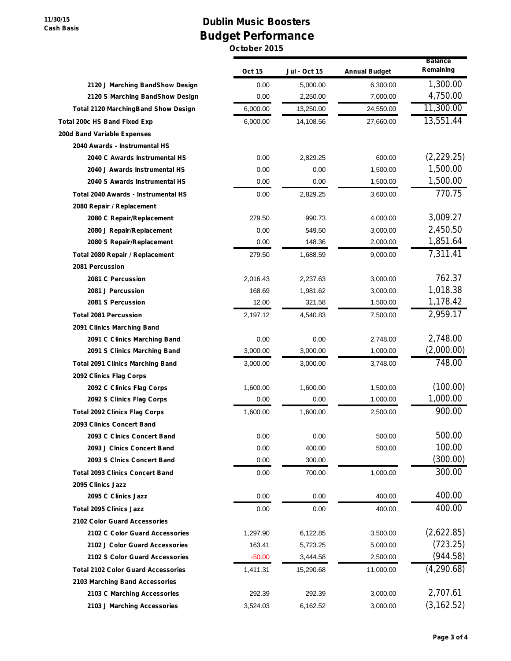**11/30/15 Cash Basis**

## **Dublin Music Boosters Budget Performance**

|                                            | <b>Oct 15</b> | Jul - Oct 15 | <b>Annual Budget</b> | <b>Balance</b><br>Remaining |
|--------------------------------------------|---------------|--------------|----------------------|-----------------------------|
| 2120 J Marching BandShow Design            | 0.00          | 5,000.00     | 6,300.00             | 1,300.00                    |
| 2120 S Marching BandShow Design            | 0.00          | 2,250.00     | 7,000.00             | 4,750.00                    |
| <b>Total 2120 MarchingBand Show Design</b> | 6,000.00      | 13,250.00    | 24,550.00            | 11,300.00                   |
| Total 200c HS Band Fixed Exp               | 6,000.00      | 14,108.56    | 27,660.00            | 13,551.44                   |
| 200d Band Variable Expenses                |               |              |                      |                             |
| 2040 Awards - Instrumental HS              |               |              |                      |                             |
| 2040 C Awards Instrumental HS              | 0.00          | 2,829.25     | 600.00               | (2,229.25)                  |
| 2040 J Awards Instrumental HS              | 0.00          | 0.00         | 1,500.00             | 1,500.00                    |
| 2040 S Awards Instrumental HS              | 0.00          | 0.00         | 1,500.00             | 1,500.00                    |
| Total 2040 Awards - Instrumental HS        | 0.00          | 2,829.25     | 3,600.00             | 770.75                      |
| 2080 Repair / Replacement                  |               |              |                      |                             |
| 2080 C Repair/Replacement                  | 279.50        | 990.73       | 4,000.00             | 3,009.27                    |
| 2080 J Repair/Replacement                  | 0.00          | 549.50       | 3.000.00             | 2,450.50                    |
| 2080 S Repair/Replacement                  | 0.00          | 148.36       | 2,000.00             | 1,851.64                    |
| Total 2080 Repair / Replacement            | 279.50        | 1,688.59     | 9.000.00             | 7,311.41                    |
| 2081 Percussion                            |               |              |                      |                             |
| 2081 C Percussion                          | 2,016.43      | 2.237.63     | 3,000.00             | 762.37                      |
| 2081 J Percussion                          | 168.69        | 1,981.62     | 3,000.00             | 1,018.38                    |
| 2081 S Percussion                          | 12.00         | 321.58       | 1,500.00             | 1,178.42                    |
| <b>Total 2081 Percussion</b>               | 2,197.12      | 4,540.83     | 7,500.00             | 2,959.17                    |
| 2091 Clinics Marching Band                 |               |              |                      |                             |
| 2091 C Clinics Marching Band               | 0.00          | 0.00         | 2,748.00             | 2,748.00                    |
| 2091 S Clinics Marching Band               | 3,000.00      | 3,000.00     | 1,000.00             | (2,000.00)                  |
| <b>Total 2091 Clinics Marching Band</b>    | 3,000.00      | 3,000.00     | 3,748.00             | 748.00                      |
| 2092 Clinics Flag Corps                    |               |              |                      |                             |
| 2092 C Clinics Flag Corps                  | 1,600.00      | 1,600.00     | 1,500.00             | (100.00)                    |
| 2092 S Clinics Flag Corps                  | 0.00          | 0.00         | 1,000.00             | 1,000.00                    |
| <b>Total 2092 Clinics Flag Corps</b>       | 1,600.00      | 1,600.00     | 2,500.00             | 900.00                      |
| 2093 Clinics Concert Band                  |               |              |                      |                             |
| 2093 C Clnics Concert Band                 | 0.00          | 0.00         | 500.00               | 500.00                      |
| 2093 J Clnics Concert Band                 | 0.00          | 400.00       | 500.00               | 100.00                      |
| 2093 S Cinics Concert Band                 | 0.00          | 300.00       |                      | (300.00)                    |
| <b>Total 2093 Clinics Concert Band</b>     | 0.00          | 700.00       | 1,000.00             | 300.00                      |
| 2095 Clinics Jazz                          |               |              |                      |                             |
| 2095 C Clinics Jazz                        | 0.00          | 0.00         | 400.00               | 400.00                      |
| <b>Total 2095 Clinics Jazz</b>             | 0.00          | 0.00         | 400.00               | 400.00                      |
| 2102 Color Guard Accessories               |               |              |                      |                             |
| 2102 C Color Guard Accessories             | 1,297.90      | 6,122.85     | 3,500.00             | (2,622.85)                  |
| 2102 J Color Guard Accessories             | 163.41        | 5,723.25     | 5,000.00             | (723.25)                    |
| 2102 S Color Guard Accessories             | $-50.00$      | 3,444.58     | 2,500.00             | (944.58)                    |
| <b>Total 2102 Color Guard Accessories</b>  | 1,411.31      | 15,290.68    | 11,000.00            | (4, 290.68)                 |
| 2103 Marching Band Accessories             |               |              |                      |                             |
| 2103 C Marching Accessories                | 292.39        | 292.39       | 3,000.00             | 2,707.61                    |
| 2103 J Marching Accessories                | 3,524.03      | 6,162.52     | 3,000.00             | (3, 162.52)                 |